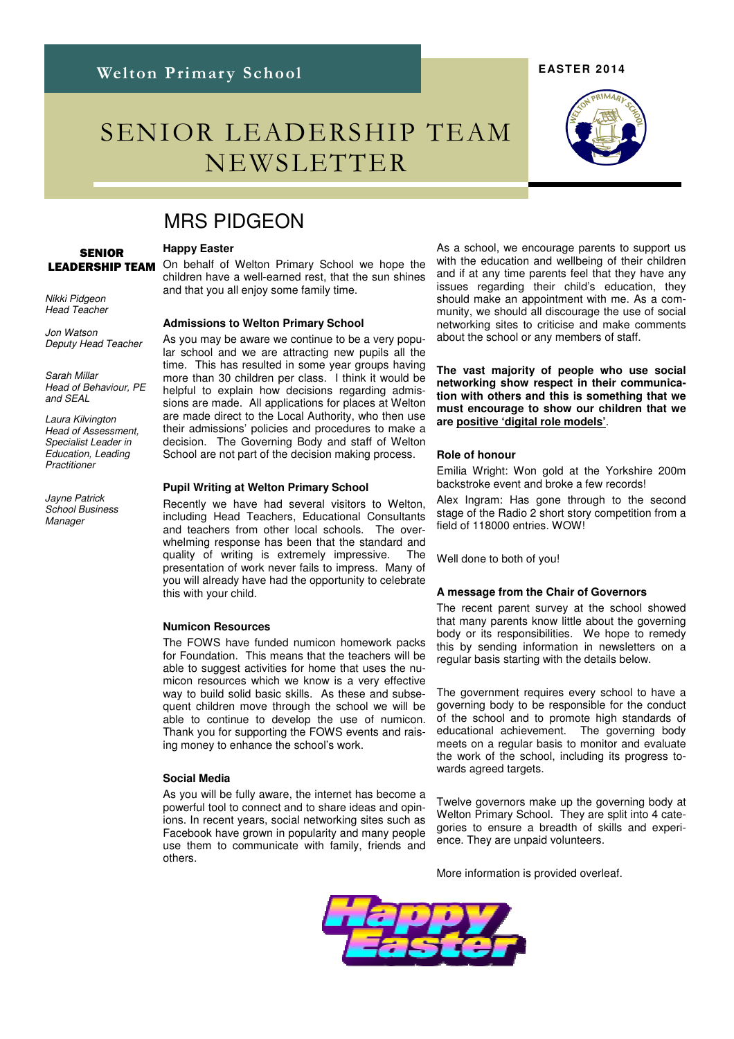# SENIOR LEADERSHIP TEAM NEWSLETTER



### MRS PIDGEON

#### **SENIOR** LEADERSHIP TEAM

Nikki Pidgeon Head Teacher

Jon Watson Deputy Head Teacher

Sarah Millar Head of Behaviour, PE and SEAL

Laura Kilvington Head of Assessment, Specialist Leader in Education, Leading **Practitioner** 

Jayne Patrick School Business **Manager** 

#### **Happy Easter**

On behalf of Welton Primary School we hope the children have a well-earned rest, that the sun shines and that you all enjoy some family time.

#### **Admissions to Welton Primary School**

As you may be aware we continue to be a very popular school and we are attracting new pupils all the time. This has resulted in some year groups having more than 30 children per class. I think it would be helpful to explain how decisions regarding admissions are made. All applications for places at Welton are made direct to the Local Authority, who then use their admissions' policies and procedures to make a decision. The Governing Body and staff of Welton School are not part of the decision making process.

#### **Pupil Writing at Welton Primary School**

Recently we have had several visitors to Welton, including Head Teachers, Educational Consultants and teachers from other local schools. The overwhelming response has been that the standard and quality of writing is extremely impressive. The presentation of work never fails to impress. Many of you will already have had the opportunity to celebrate this with your child.

#### **Numicon Resources**

The FOWS have funded numicon homework packs for Foundation. This means that the teachers will be able to suggest activities for home that uses the numicon resources which we know is a very effective way to build solid basic skills. As these and subsequent children move through the school we will be able to continue to develop the use of numicon. Thank you for supporting the FOWS events and raising money to enhance the school's work.

#### **Social Media**

As you will be fully aware, the internet has become a powerful tool to connect and to share ideas and opinions. In recent years, social networking sites such as Facebook have grown in popularity and many people use them to communicate with family, friends and others.

As a school, we encourage parents to support us with the education and wellbeing of their children and if at any time parents feel that they have any issues regarding their child's education, they should make an appointment with me. As a community, we should all discourage the use of social networking sites to criticise and make comments about the school or any members of staff.

**The vast majority of people who use social networking show respect in their communication with others and this is something that we must encourage to show our children that we are positive 'digital role models'**.

#### **Role of honour**

Emilia Wright: Won gold at the Yorkshire 200m backstroke event and broke a few records!

Alex Ingram: Has gone through to the second stage of the Radio 2 short story competition from a field of 118000 entries. WOW!

Well done to both of you!

#### **A message from the Chair of Governors**

The recent parent survey at the school showed that many parents know little about the governing body or its responsibilities. We hope to remedy this by sending information in newsletters on a regular basis starting with the details below.

The government requires every school to have a governing body to be responsible for the conduct of the school and to promote high standards of educational achievement. The governing body meets on a regular basis to monitor and evaluate the work of the school, including its progress towards agreed targets.

Twelve governors make up the governing body at Welton Primary School. They are split into 4 categories to ensure a breadth of skills and experience. They are unpaid volunteers.

More information is provided overleaf.



**EASTER 2014**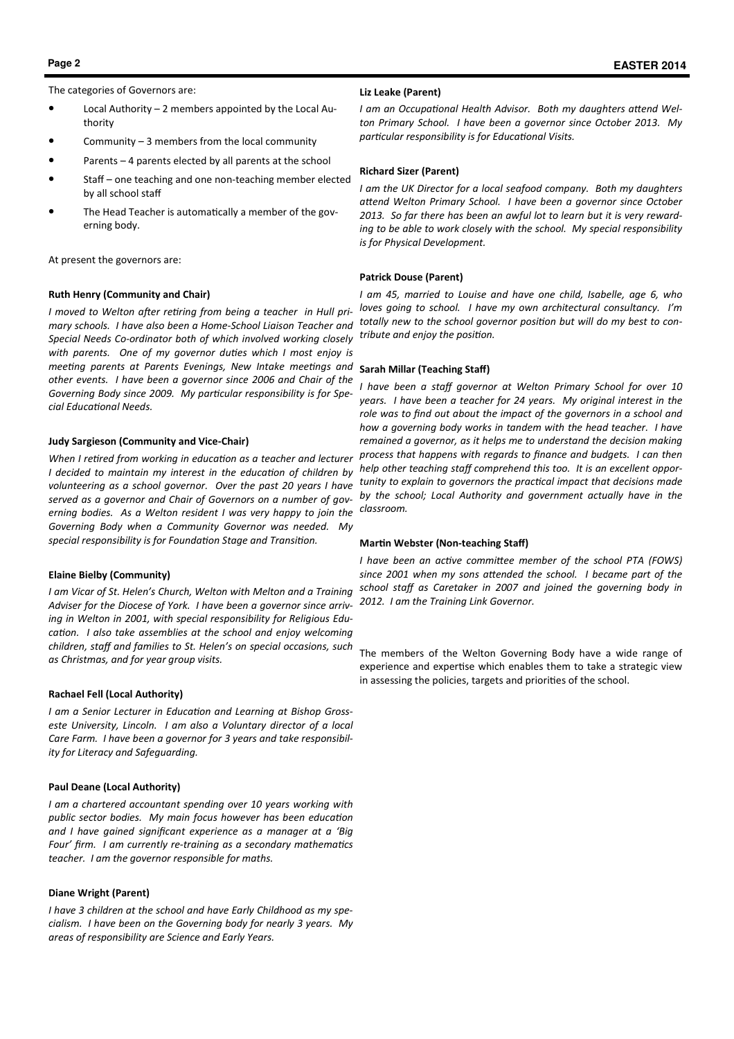The categories of Governors are:

- Local Authority  $-2$  members appointed by the Local Authority
- Community  $-3$  members from the local community
- Parents 4 parents elected by all parents at the school
- Staff one teaching and one non-teaching member elected by all school staff
- The Head Teacher is automatically a member of the governing body.

At present the governors are:

#### Ruth Henry (Community and Chair)

I moved to Welton after retiring from being a teacher in Hull primary schools. I have also been a Home-School Liaison Teacher and Special Needs Co-ordinator both of which involved working closely with parents. One of my governor duties which I most enjoy is meeting parents at Parents Evenings, New Intake meetings and other events. I have been a governor since 2006 and Chair of the Governing Body since 2009. My particular responsibility is for Special Educational Needs.

#### Judy Sargieson (Community and Vice-Chair)

When I retired from working in education as a teacher and lecturer I decided to maintain my interest in the education of children by volunteering as a school governor. Over the past 20 years I have served as a governor and Chair of Governors on a number of governing bodies. As a Welton resident I was very happy to join the Governing Body when a Community Governor was needed. My special responsibility is for Foundation Stage and Transition.

#### Elaine Bielby (Community)

I am Vicar of St. Helen's Church, Welton with Melton and a Training Adviser for the Diocese of York. I have been a governor since arriving in Welton in 2001, with special responsibility for Religious Education. I also take assemblies at the school and enjoy welcoming children, staff and families to St. Helen's on special occasions, such as Christmas, and for year group visits.

#### Rachael Fell (Local Authority)

I am a Senior Lecturer in Education and Learning at Bishop Grosseste University, Lincoln. I am also a Voluntary director of a local Care Farm. I have been a governor for 3 years and take responsibility for Literacy and Safeguarding.

#### Paul Deane (Local Authority)

I am a chartered accountant spending over 10 years working with public sector bodies. My main focus however has been education and I have gained significant experience as a manager at a 'Big Four' firm. I am currently re-training as a secondary mathematics teacher. I am the governor responsible for maths.

#### Diane Wright (Parent)

I have 3 children at the school and have Early Childhood as my specialism. I have been on the Governing body for nearly 3 years. My areas of responsibility are Science and Early Years.

#### Liz Leake (Parent)

I am an Occupational Health Advisor. Both my daughters attend Welton Primary School. I have been a governor since October 2013. My particular responsibility is for Educational Visits.

#### Richard Sizer (Parent)

I am the UK Director for a local seafood company. Both my daughters attend Welton Primary School. I have been a governor since October 2013. So far there has been an awful lot to learn but it is very rewarding to be able to work closely with the school. My special responsibility is for Physical Development.

#### Patrick Douse (Parent)

I am 45, married to Louise and have one child, Isabelle, age 6, who loves going to school. I have my own architectural consultancy. I'm totally new to the school governor position but will do my best to contribute and enjoy the position.

#### Sarah Millar (Teaching Staff)

I have been a staff governor at Welton Primary School for over 10 years. I have been a teacher for 24 years. My original interest in the role was to find out about the impact of the governors in a school and how a governing body works in tandem with the head teacher. I have remained a governor, as it helps me to understand the decision making process that happens with regards to finance and budgets. I can then help other teaching staff comprehend this too. It is an excellent opportunity to explain to governors the practical impact that decisions made by the school; Local Authority and government actually have in the classroom.

#### Martin Webster (Non-teaching Staff)

I have been an active committee member of the school PTA (FOWS) since 2001 when my sons attended the school. I became part of the school staff as Caretaker in 2007 and joined the governing body in 2012. I am the Training Link Governor.

The members of the Welton Governing Body have a wide range of experience and expertise which enables them to take a strategic view in assessing the policies, targets and priorities of the school.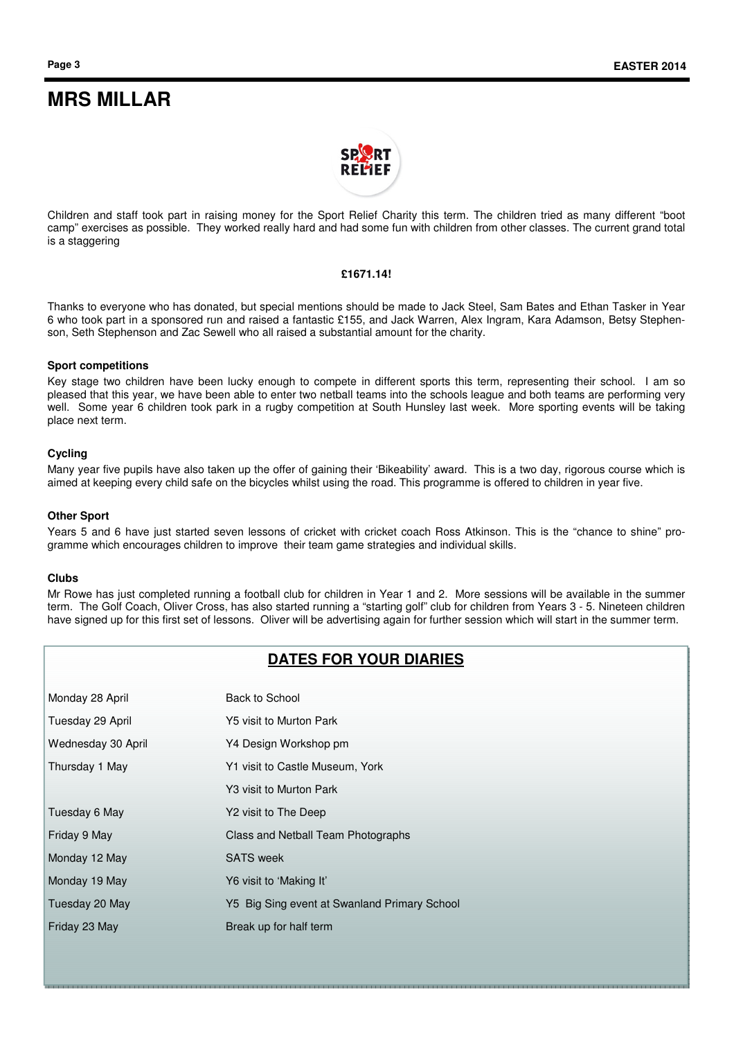### **MRS MILLAR**



Children and staff took part in raising money for the Sport Relief Charity this term. The children tried as many different "boot camp" exercises as possible. They worked really hard and had some fun with children from other classes. The current grand total is a staggering

#### **£1671.14!**

Thanks to everyone who has donated, but special mentions should be made to Jack Steel, Sam Bates and Ethan Tasker in Year 6 who took part in a sponsored run and raised a fantastic £155, and Jack Warren, Alex Ingram, Kara Adamson, Betsy Stephenson, Seth Stephenson and Zac Sewell who all raised a substantial amount for the charity.

#### **Sport competitions**

Key stage two children have been lucky enough to compete in different sports this term, representing their school. I am so pleased that this year, we have been able to enter two netball teams into the schools league and both teams are performing very well. Some year 6 children took park in a rugby competition at South Hunsley last week. More sporting events will be taking place next term.

#### **Cycling**

Many year five pupils have also taken up the offer of gaining their 'Bikeability' award. This is a two day, rigorous course which is aimed at keeping every child safe on the bicycles whilst using the road. This programme is offered to children in year five.

#### **Other Sport**

Years 5 and 6 have just started seven lessons of cricket with cricket coach Ross Atkinson. This is the "chance to shine" programme which encourages children to improve their team game strategies and individual skills.

#### **Clubs**

Mr Rowe has just completed running a football club for children in Year 1 and 2. More sessions will be available in the summer term. The Golf Coach, Oliver Cross, has also started running a "starting golf" club for children from Years 3 - 5. Nineteen children have signed up for this first set of lessons. Oliver will be advertising again for further session which will start in the summer term.

### **DATES FOR YOUR DIARIES**

| Monday 28 April    | Back to School                               |
|--------------------|----------------------------------------------|
| Tuesday 29 April   | Y5 visit to Murton Park                      |
| Wednesday 30 April | Y4 Design Workshop pm                        |
| Thursday 1 May     | Y1 visit to Castle Museum, York              |
|                    | Y3 visit to Murton Park                      |
| Tuesday 6 May      | Y2 visit to The Deep                         |
| Friday 9 May       | Class and Netball Team Photographs           |
| Monday 12 May      | <b>SATS</b> week                             |
| Monday 19 May      | Y6 visit to 'Making It'                      |
| Tuesday 20 May     | Y5 Big Sing event at Swanland Primary School |
| Friday 23 May      | Break up for half term                       |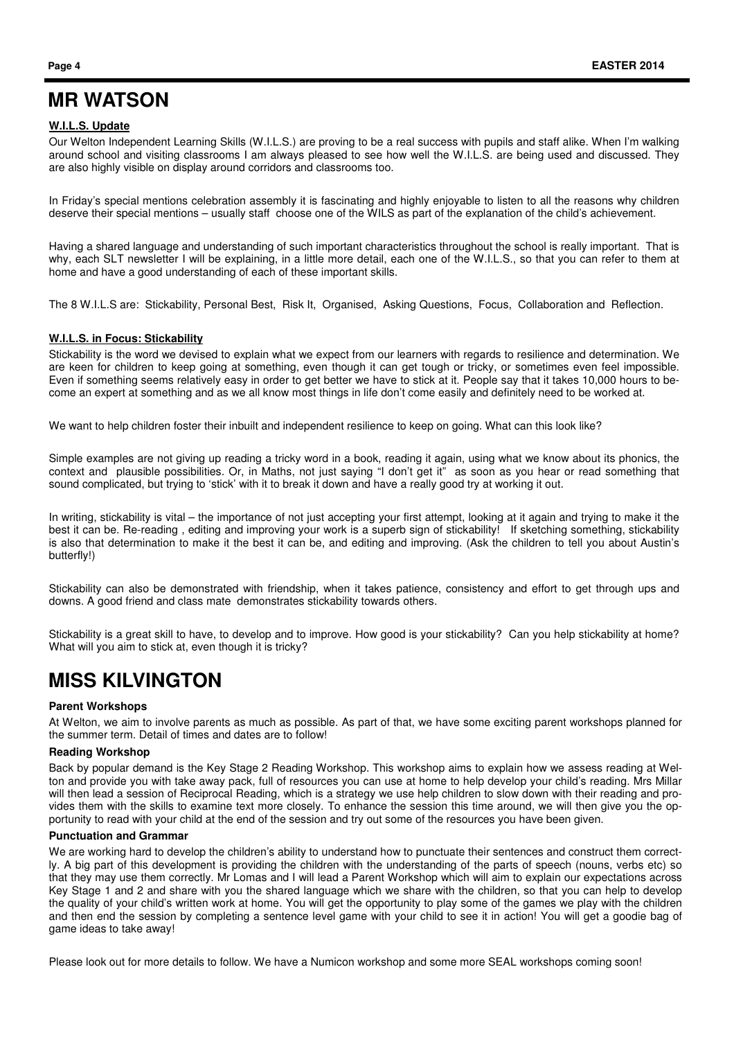#### **W.I.L.S. Update**

Our Welton Independent Learning Skills (W.I.L.S.) are proving to be a real success with pupils and staff alike. When I'm walking around school and visiting classrooms I am always pleased to see how well the W.I.L.S. are being used and discussed. They are also highly visible on display around corridors and classrooms too.

In Friday's special mentions celebration assembly it is fascinating and highly enjoyable to listen to all the reasons why children deserve their special mentions – usually staff choose one of the WILS as part of the explanation of the child's achievement.

Having a shared language and understanding of such important characteristics throughout the school is really important. That is why, each SLT newsletter I will be explaining, in a little more detail, each one of the W.I.L.S., so that you can refer to them at home and have a good understanding of each of these important skills.

The 8 W.I.L.S are: Stickability, Personal Best, Risk It, Organised, Asking Questions, Focus, Collaboration and Reflection.

#### **W.I.L.S. in Focus: Stickability**

Stickability is the word we devised to explain what we expect from our learners with regards to resilience and determination. We are keen for children to keep going at something, even though it can get tough or tricky, or sometimes even feel impossible. Even if something seems relatively easy in order to get better we have to stick at it. People say that it takes 10,000 hours to become an expert at something and as we all know most things in life don't come easily and definitely need to be worked at.

We want to help children foster their inbuilt and independent resilience to keep on going. What can this look like?

Simple examples are not giving up reading a tricky word in a book, reading it again, using what we know about its phonics, the context and plausible possibilities. Or, in Maths, not just saying "I don't get it" as soon as you hear or read something that sound complicated, but trying to 'stick' with it to break it down and have a really good try at working it out.

In writing, stickability is vital – the importance of not just accepting your first attempt, looking at it again and trying to make it the best it can be. Re-reading , editing and improving your work is a superb sign of stickability! If sketching something, stickability is also that determination to make it the best it can be, and editing and improving. (Ask the children to tell you about Austin's butterfly!)

Stickability can also be demonstrated with friendship, when it takes patience, consistency and effort to get through ups and downs. A good friend and class mate demonstrates stickability towards others.

Stickability is a great skill to have, to develop and to improve. How good is your stickability? Can you help stickability at home? What will you aim to stick at, even though it is tricky?

## **MISS KILVINGTON**

#### **Parent Workshops**

At Welton, we aim to involve parents as much as possible. As part of that, we have some exciting parent workshops planned for the summer term. Detail of times and dates are to follow!

#### **Reading Workshop**

Back by popular demand is the Key Stage 2 Reading Workshop. This workshop aims to explain how we assess reading at Welton and provide you with take away pack, full of resources you can use at home to help develop your child's reading. Mrs Millar will then lead a session of Reciprocal Reading, which is a strategy we use help children to slow down with their reading and provides them with the skills to examine text more closely. To enhance the session this time around, we will then give you the opportunity to read with your child at the end of the session and try out some of the resources you have been given.

#### **Punctuation and Grammar**

We are working hard to develop the children's ability to understand how to punctuate their sentences and construct them correctly. A big part of this development is providing the children with the understanding of the parts of speech (nouns, verbs etc) so that they may use them correctly. Mr Lomas and I will lead a Parent Workshop which will aim to explain our expectations across Key Stage 1 and 2 and share with you the shared language which we share with the children, so that you can help to develop the quality of your child's written work at home. You will get the opportunity to play some of the games we play with the children and then end the session by completing a sentence level game with your child to see it in action! You will get a goodie bag of game ideas to take away!

Please look out for more details to follow. We have a Numicon workshop and some more SEAL workshops coming soon!